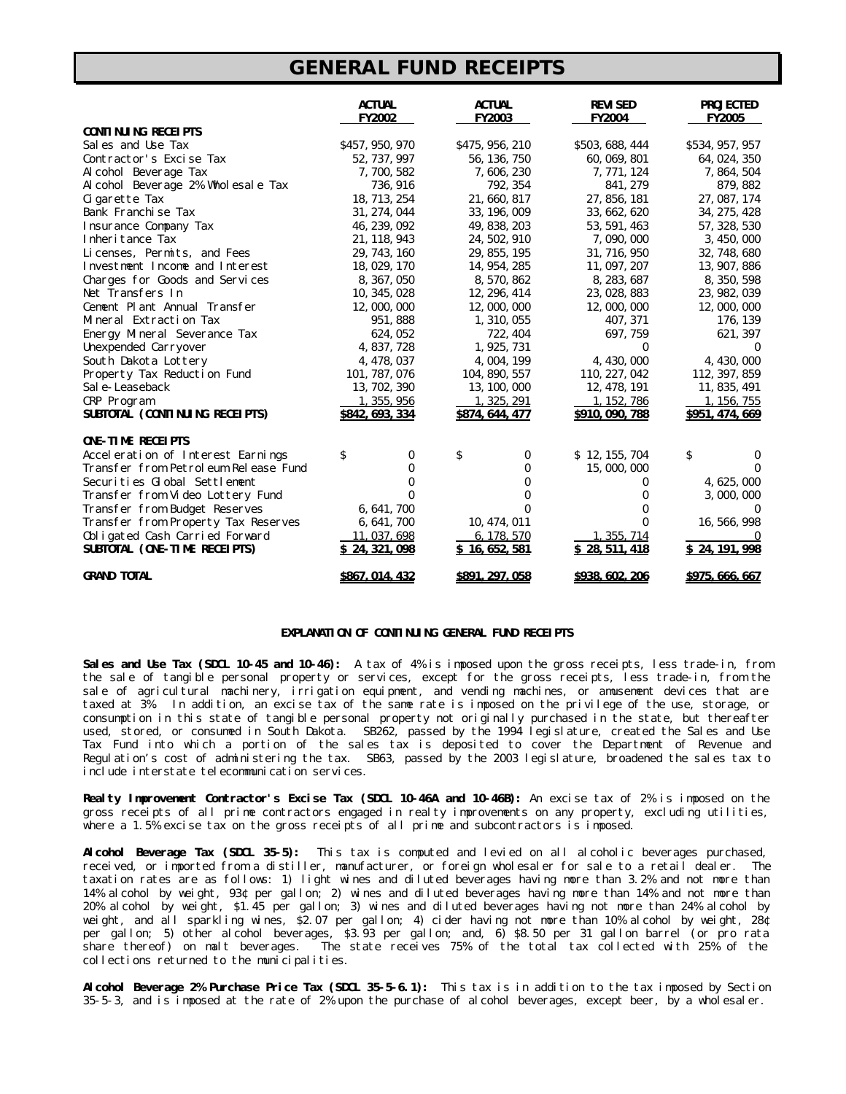## *GENERAL FUND RECEIPTS*

|                                      | <b>ACTUAL</b><br><b>FY2002</b> | <b>ACTUAL</b><br><b>FY2003</b> | <b>REVISED</b><br><b>FY2004</b> | <b>PROJECTED</b><br><b>FY2005</b> |
|--------------------------------------|--------------------------------|--------------------------------|---------------------------------|-----------------------------------|
| <b>CONTINUING RECEIPTS</b>           |                                |                                |                                 |                                   |
| Sales and Use Tax                    | \$457, 950, 970                | \$475, 956, 210                | \$503, 688, 444                 | \$534, 957, 957                   |
| Contractor's Excise Tax              | 52, 737, 997                   | 56, 136, 750                   | 60, 069, 801                    | 64, 024, 350                      |
| Alcohol Beverage Tax                 | 7,700,582                      | 7,606,230                      | 7, 771, 124                     | 7, 864, 504                       |
| Alcohol Beverage 2% Wholesale Tax    | 736, 916                       | 792, 354                       | 841, 279                        | 879, 882                          |
| Cigarette Tax                        | 18, 713, 254                   | 21,660,817                     | 27, 856, 181                    | 27, 087, 174                      |
| Bank Franchise Tax                   | 31, 274, 044                   | 33, 196, 009                   | 33, 662, 620                    | 34, 275, 428                      |
| <b>Insurance Company Tax</b>         | 46, 239, 092                   | 49, 838, 203                   | 53, 591, 463                    | 57, 328, 530                      |
| Inheritance Tax                      | 21, 118, 943                   | 24, 502, 910                   | 7,090,000                       | 3, 450, 000                       |
| Licenses, Permits, and Fees          | 29, 743, 160                   | 29, 855, 195                   | 31, 716, 950                    | 32, 748, 680                      |
| Investment Income and Interest       | 18, 029, 170                   | 14, 954, 285                   | 11, 097, 207                    | 13, 907, 886                      |
| Charges for Goods and Services       | 8, 367, 050                    | 8,570,862                      | 8, 283, 687                     | 8, 350, 598                       |
| Net Transfers In                     | 10, 345, 028                   | 12, 296, 414                   | 23, 028, 883                    | 23, 982, 039                      |
| Cement Plant Annual Transfer         | 12,000,000                     | 12,000,000                     | 12,000,000                      | 12,000,000                        |
| Mineral Extraction Tax               | 951,888                        | 1, 310, 055                    | 407, 371                        | 176, 139                          |
| Energy Mineral Severance Tax         | 624, 052                       | 722, 404                       | 697,759                         | 621, 397                          |
| Unexpended Carryover                 | 4, 837, 728                    | 1, 925, 731                    | $\bf{0}$                        |                                   |
| South Dakota Lottery                 | 4, 478, 037                    | 4, 004, 199                    | 4, 430, 000                     | 4,430,000                         |
| Property Tax Reduction Fund          | 101, 787, 076                  | 104, 890, 557                  | 110, 227, 042                   | 112, 397, 859                     |
| Sale-Leaseback                       | 13, 702, 390                   | 13, 100, 000                   | 12, 478, 191                    | 11, 835, 491                      |
| CRP Program                          | 1, 355, 956                    | 1, 325, 291                    | 1, 152, 786                     | 1, 156, 755                       |
| SUBTOTAL (CONTINUING RECEIPTS)       | \$842, 693, 334                | \$874, 644, 477                | \$910, 090, 788                 | \$951, 474, 669                   |
| <b>ONE-TIME RECEIPTS</b>             |                                |                                |                                 |                                   |
| Acceleration of Interest Earnings    | \$<br>$\bf{0}$                 | \$<br>0                        | \$12, 155, 704                  | \$<br>$\bf{0}$                    |
| Transfer from Petroleum Release Fund | 0                              | 0                              | 15,000,000                      | $\mathbf{0}$                      |
| Securities Global Settlement         | 0                              | 0                              |                                 | 4, 625, 000                       |
| Transfer from Video Lottery Fund     | 0                              | 0                              | $_{0}$                          | 3,000,000                         |
| Transfer from Budget Reserves        | 6, 641, 700                    | 0                              |                                 |                                   |
| Transfer from Property Tax Reserves  | 6, 641, 700                    | 10, 474, 011                   |                                 | 16, 566, 998                      |
| Obligated Cash Carried Forward       | 11, 037, 698                   | 6, 178, 570                    | 1, 355, 714                     |                                   |
| SUBTOTAL (ONE-TIME RECEIPTS)         | S 24, 321, 098                 | \$16,652,581                   | \$28,511,418                    | \$24, 191, 998                    |
| <b>GRAND TOTAL</b>                   | \$867, 014, 432                | <b>\$891, 297, 058</b>         | \$938, 602, 206                 | <b>\$975, 666, 667</b>            |

## **EXPLANATION OF CONTINUING GENERAL FUND RECEIPTS**

**Sales and Use Tax (SDCL 10-45 and 10-46):** A tax of 4% is imposed upon the gross receipts, less trade-in, from the sale of tangible personal property or services, except for the gross receipts, less trade-in, from the sale of agricultural machinery, irrigation equipment, and vending machines, or amusement devices that are taxed at 3%. In addition, an excise tax of the same rate is imposed on the privilege of the use, storage, or consumption in this state of tangible personal property not originally purchased in the state, but thereafter used, stored, or consumed in South Dakota. SB262, passed by the 1994 legislature, created the Sales and Use Tax Fund into which a portion of the sales tax is deposited to cover the Department of Revenue and Regulation's cost of administering the tax. SB63, passed by the 2003 legislature, broadened the sales tax to include interstate telecommunication services.

**Realty Improvement Contractor's Excise Tax (SDCL 10-46A and 10-46B):** An excise tax of 2% is imposed on the gross receipts of all prime contractors engaged in realty improvements on any property, excluding utilities, where a 1.5% excise tax on the gross receipts of all prime and subcontractors is imposed.

**Alcohol Beverage Tax (SDCL 35-5):** This tax is computed and levied on all alcoholic beverages purchased, received, or imported from a distiller, manufacturer, or foreign wholesaler for sale to a retail dealer. The taxation rates are as follows: 1) light wines and diluted beverages having more than 3.2% and not more than 14% alcohol by weight, 93¢ per gallon; 2) wines and diluted beverages having more than 14% and not more than 20% alcohol by weight, \$1.45 per gallon; 3) wines and diluted beverages having not more than 24% alcohol by weight, and all sparkling wines, \$2.07 per gallon; 4) cider having not more than 10% alcohol by weight, 28¢ per gallon; 5) other alcohol beverages, \$3.93 per gallon; and, 6) \$8.50 per 31 gallon barrel (or pro rata share thereof) on malt beverages. The state receives 75% of the total tax collected with 25% of the collections returned to the municipalities.

**Alcohol Beverage 2% Purchase Price Tax (SDCL 35-5-6.1):** This tax is in addition to the tax imposed by Section 35-5-3, and is imposed at the rate of 2% upon the purchase of alcohol beverages, except beer, by a wholesaler.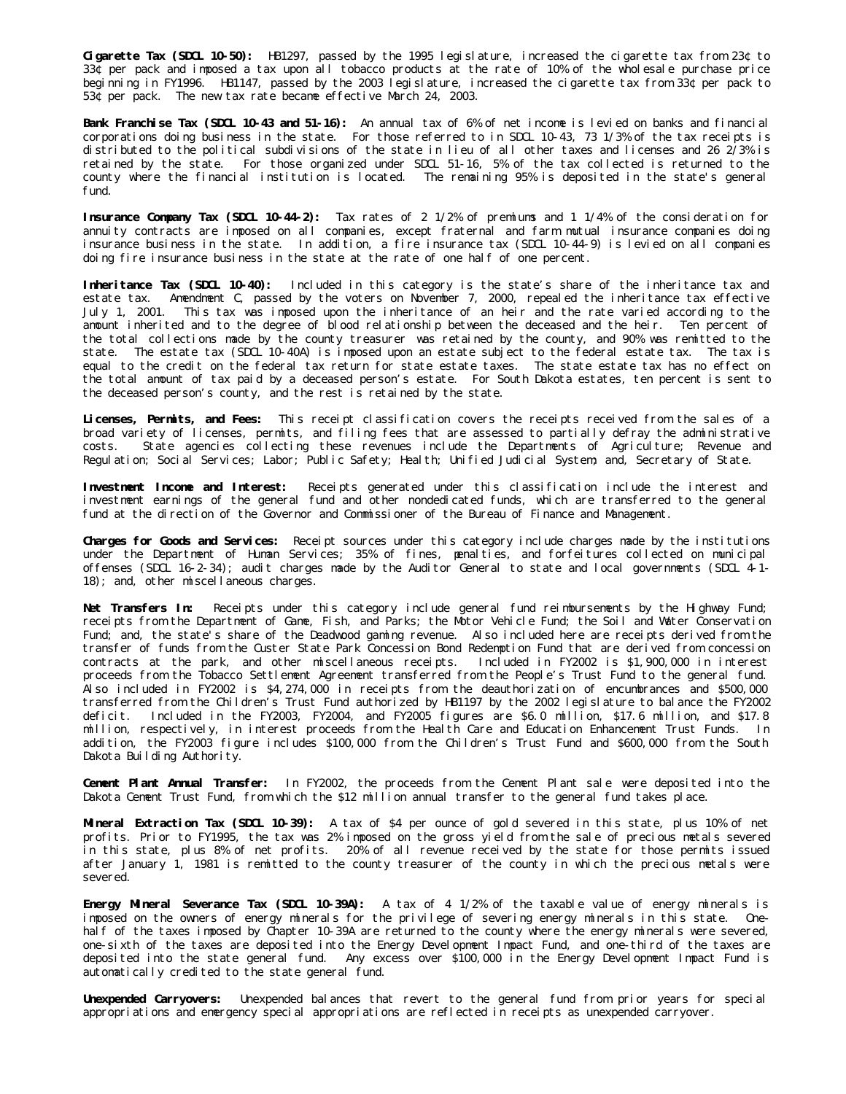**Cigarette Tax (SDCL 10-50):** HB1297, passed by the 1995 legislature, increased the cigarette tax from 23¢ to 33¢ per pack and imposed a tax upon all tobacco products at the rate of 10% of the wholesale purchase price beginning in FY1996. HB1147, passed by the 2003 legislature, increased the cigarette tax from 33¢ per pack to 53¢ per pack. The new tax rate became effective March 24, 2003.

**Bank Franchise Tax (SDCL 10-43 and 51-16):** An annual tax of 6% of net income is levied on banks and financial corporations doing business in the state. For those referred to in SDCL 10-43, 73 1/3% of the tax receipts is distributed to the political subdivisions of the state in lieu of all other taxes and licenses and 26 2/3% is retained by the state. For those organized under SDCL 51-16, 5% of the tax collected is returned to the county where the financial institution is located. The remaining 95% is deposited in the state's general fund.

**Insurance Company Tax (SDCL 10-44-2):** Tax rates of 2 1/2% of premiums and 1 1/4% of the consideration for annuity contracts are imposed on all companies, except fraternal and farm mutual insurance companies doing insurance business in the state. In addition, a fire insurance tax (SDCL 10-44-9) is levied on all companies doing fire insurance business in the state at the rate of one half of one percent.

**Inheritance Tax (SDCL 10-40):** Included in this category is the state's share of the inheritance tax and estate tax. Amendment C, passed by the voters on November 7, 2000, repealed the inheritance tax effective July 1, 2001. This tax was imposed upon the inheritance of an heir and the rate varied according to the amount inherited and to the degree of blood relationship between the deceased and the heir. Ten percent of the total collections made by the county treasurer was retained by the county, and 90% was remitted to the state. The estate tax (SDCL 10-40A) is imposed upon an estate subject to the federal estate tax. The tax is equal to the credit on the federal tax return for state estate taxes. The state estate tax has no effect on the total amount of tax paid by a deceased person's estate. For South Dakota estates, ten percent is sent to the deceased person's county, and the rest is retained by the state.

**Licenses, Permits, and Fees:** This receipt classification covers the receipts received from the sales of a broad variety of licenses, permits, and filing fees that are assessed to partially defray the administrative costs. State agencies collecting these revenues include the Departments of Agriculture; Revenue and Regulation; Social Services; Labor; Public Safety; Health; Unified Judicial System; and, Secretary of State.

**Investment Income and Interest:** Receipts generated under this classification include the interest and investment earnings of the general fund and other nondedicated funds, which are transferred to the general fund at the direction of the Governor and Commissioner of the Bureau of Finance and Management.

**Charges for Goods and Services:** Receipt sources under this category include charges made by the institutions under the Department of Human Services; 35% of fines, penalties, and forfeitures collected on municipal offenses (SDCL 16-2-34); audit charges made by the Auditor General to state and local governments (SDCL 4-1- 18); and, other miscellaneous charges.

**Net Transfers In:** Receipts under this category include general fund reimbursements by the Highway Fund; receipts from the Department of Game, Fish, and Parks; the Motor Vehicle Fund; the Soil and Water Conservation Fund; and, the state's share of the Deadwood gaming revenue. Also included here are receipts derived from the transfer of funds from the Custer State Park Concession Bond Redemption Fund that are derived from concession contracts at the park, and other miscellaneous receipts. Included in FY2002 is \$1,900,000 in interest proceeds from the Tobacco Settlement Agreement transferred from the People's Trust Fund to the general fund. Also included in FY2002 is \$4,274,000 in receipts from the deauthorization of encumbrances and \$500,000 transferred from the Children's Trust Fund authorized by HB1197 by the 2002 legislature to balance the FY2002 deficit. Included in the FY2003, FY2004, and FY2005 figures are \$6.0 million, \$17.6 million, and \$17.8 million, respectively, in interest proceeds from the Health Care and Education Enhancement Trust Funds. In addition, the FY2003 figure includes \$100,000 from the Children's Trust Fund and \$600,000 from the South Dakota Building Authority.

**Cement Plant Annual Transfer:** In FY2002, the proceeds from the Cement Plant sale were deposited into the Dakota Cement Trust Fund, from which the \$12 million annual transfer to the general fund takes place.

**Mineral Extraction Tax (SDCL 10-39):** A tax of \$4 per ounce of gold severed in this state, plus 10% of net profits. Prior to FY1995, the tax was 2% imposed on the gross yield from the sale of precious metals severed in this state, plus 8% of net profits. 20% of all revenue received by the state for those permits issued after January 1, 1981 is remitted to the county treasurer of the county in which the precious metals were severed.

**Energy Mineral Severance Tax (SDCL 10-39A):** A tax of 4 1/2% of the taxable value of energy minerals is imposed on the owners of energy minerals for the privilege of severing energy minerals in this state. Onehalf of the taxes imposed by Chapter 10-39A are returned to the county where the energy minerals were severed, one-sixth of the taxes are deposited into the Energy Development Impact Fund, and one-third of the taxes are deposited into the state general fund. Any excess over \$100,000 in the Energy Development Impact Fund is automatically credited to the state general fund.

**Unexpended Carryovers:** Unexpended balances that revert to the general fund from prior years for special appropriations and emergency special appropriations are reflected in receipts as unexpended carryover.